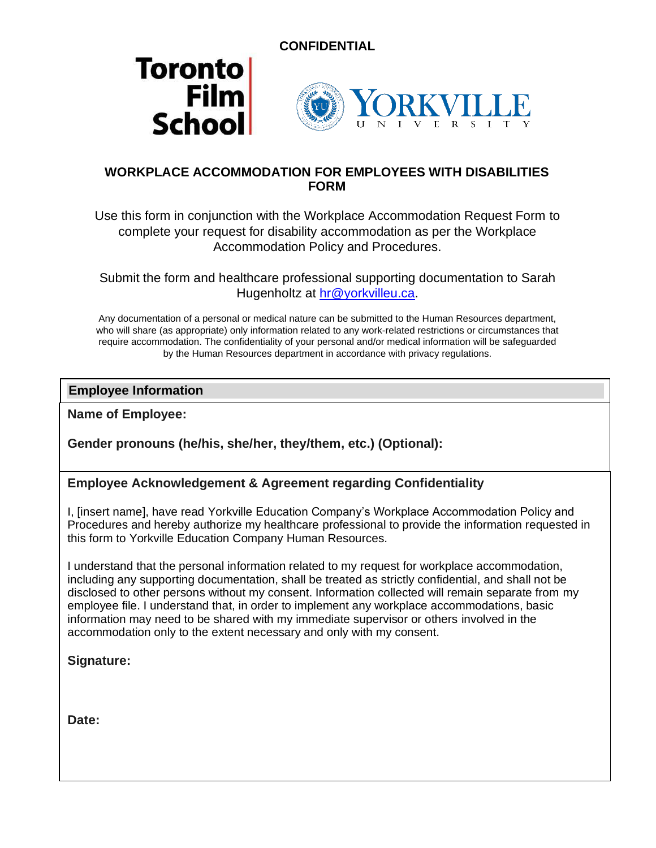





# **WORKPLACE ACCOMMODATION FOR EMPLOYEES WITH DISABILITIES FORM**

Use this form in conjunction with the Workplace Accommodation Request Form to complete your request for disability accommodation as per the Workplace Accommodation Policy and Procedures.

Submit the form and healthcare professional supporting documentation to Sarah Hugenholtz at [hr@yorkvilleu.ca.](mailto:hr@yorkvilleu.ca)

Any documentation of a personal or medical nature can be submitted to the Human Resources department, who will share (as appropriate) only information related to any work-related restrictions or circumstances that require accommodation. The confidentiality of your personal and/or medical information will be safeguarded by the Human Resources department in accordance with privacy regulations.

#### **Employee Information**

**Name of Employee:** 

**Gender pronouns (he/his, she/her, they/them, etc.) (Optional):** 

#### **Employee Acknowledgement & Agreement regarding Confidentiality**

I, [insert name], have read Yorkville Education Company's Workplace Accommodation Policy and Procedures and hereby authorize my healthcare professional to provide the information requested in this form to Yorkville Education Company Human Resources.

**I** understand that the personal information related to my request for workplace accommodation, **Contact information:**  disclosed to other persons without my consent. Information collected will remain separate from my including any supporting documentation, shall be treated as strictly confidential, and shall not be employee file. I understand that, in order to implement any workplace accommodations, basic information may need to be shared with my immediate supervisor or others involved in the accommodation only to the extent necessary and only with my consent.

**Signature:**

**Date:**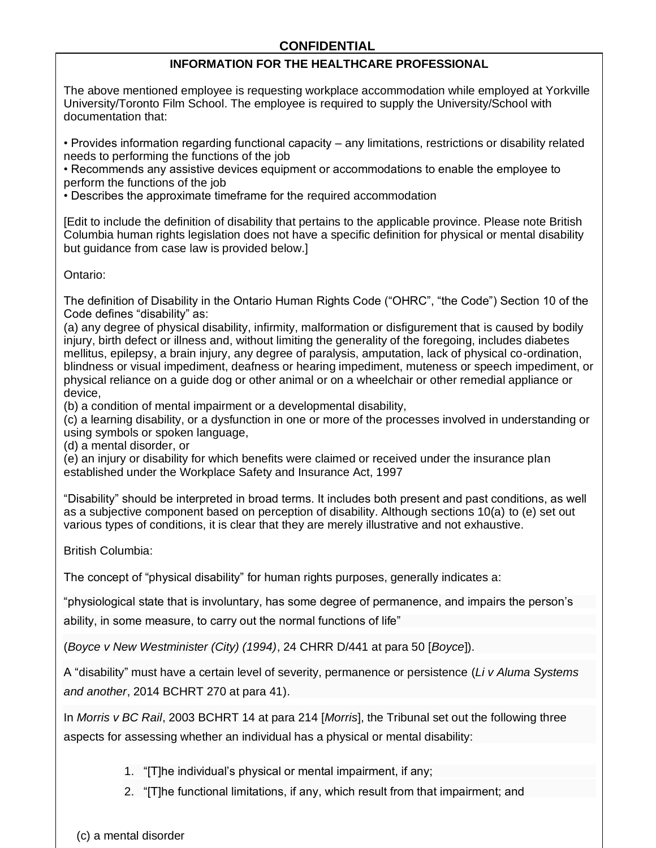## **CONFIDENTIAL**

#### **INFORMATION FOR THE HEALTHCARE PROFESSIONAL**

The above mentioned employee is requesting workplace accommodation while employed at Yorkville University/Toronto Film School. The employee is required to supply the University/School with documentation that:

• Provides information regarding functional capacity – any limitations, restrictions or disability related needs to performing the functions of the job

• Recommends any assistive devices equipment or accommodations to enable the employee to perform the functions of the job

• Describes the approximate timeframe for the required accommodation

[Edit to include the definition of disability that pertains to the applicable province. Please note British Columbia human rights legislation does not have a specific definition for physical or mental disability but guidance from case law is provided below.]

Ontario:

The definition of Disability in the Ontario Human Rights Code ("OHRC", "the Code") Section 10 of the Code defines "disability" as:

(a) any degree of physical disability, infirmity, malformation or disfigurement that is caused by bodily injury, birth defect or illness and, without limiting the generality of the foregoing, includes diabetes mellitus, epilepsy, a brain injury, any degree of paralysis, amputation, lack of physical co-ordination, blindness or visual impediment, deafness or hearing impediment, muteness or speech impediment, or physical reliance on a guide dog or other animal or on a wheelchair or other remedial appliance or device,

(b) a condition of mental impairment or a developmental disability,

(c) a learning disability, or a dysfunction in one or more of the processes involved in understanding or using symbols or spoken language,

(d) a mental disorder, or

(e) an injury or disability for which benefits were claimed or received under the insurance plan established under the Workplace Safety and Insurance Act, 1997

"Disability" should be interpreted in broad terms. It includes both present and past conditions, as well as a subjective component based on perception of disability. Although sections 10(a) to (e) set out various types of conditions, it is clear that they are merely illustrative and not exhaustive.

British Columbia:

The concept of "physical disability" for human rights purposes, generally indicates a:

"physiological state that is involuntary, has some degree of permanence, and impairs the person's

ability, in some measure, to carry out the normal functions of life"

(*Boyce v New Westminister (City) (1994)*, 24 CHRR D/441 at para 50 [*Boyce*]).

A "disability" must have a certain level of severity, permanence or persistence (*Li v Aluma Systems and another*, 2014 BCHRT 270 at para 41).

In *Morris v BC Rail*, 2003 BCHRT 14 at para 214 [*Morris*], the Tribunal set out the following three aspects for assessing whether an individual has a physical or mental disability:

- 1. "[T]he individual's physical or mental impairment, if any;
- 2. "[T]he functional limitations, if any, which result from that impairment; and

(c) a mental disorder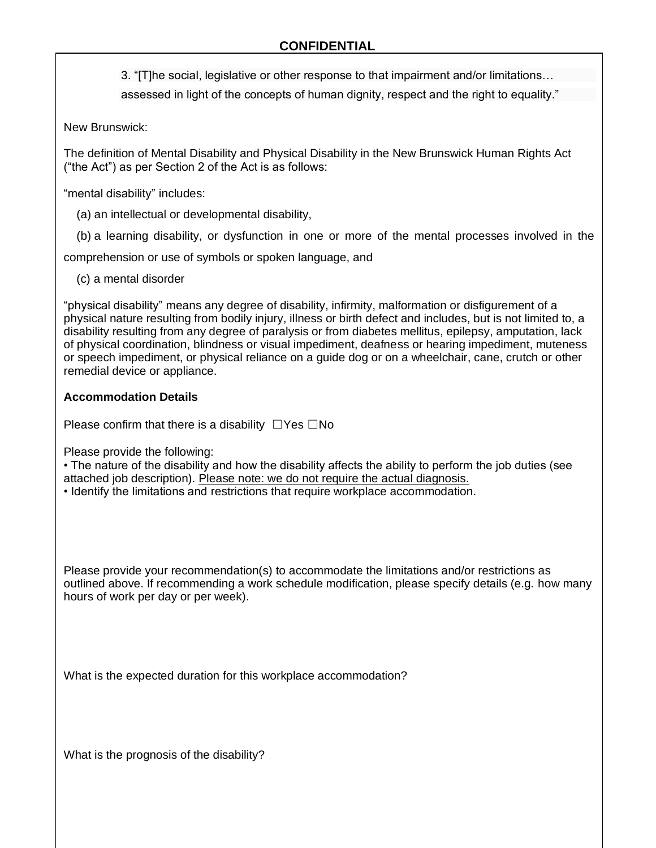3. "[T]he social, legislative or other response to that impairment and/or limitations…

assessed in light of the concepts of human dignity, respect and the right to equality."

New Brunswick:

The definition of Mental Disability and Physical Disability in the New Brunswick Human Rights Act ("the Act") as per Section 2 of the Act is as follows:

"mental disability" includes:

(a) an intellectual or developmental disability,

(b) a learning disability, or dysfunction in one or more of the mental processes involved in the

comprehension or use of symbols or spoken language, and

(c) a mental disorder

"physical disability" means any degree of disability, infirmity, malformation or disfigurement of a physical nature resulting from bodily injury, illness or birth defect and includes, but is not limited to, a disability resulting from any degree of paralysis or from diabetes mellitus, epilepsy, amputation, lack of physical coordination, blindness or visual impediment, deafness or hearing impediment, muteness or speech impediment, or physical reliance on a guide dog or on a wheelchair, cane, crutch or other remedial device or appliance.

## **Accommodation Details**

Please confirm that there is a disability  $□Yes □No$ 

Please provide the following:

• The nature of the disability and how the disability affects the ability to perform the job duties (see attached job description). Please note: we do not require the actual diagnosis.

• Identify the limitations and restrictions that require workplace accommodation.

Please provide your recommendation(s) to accommodate the limitations and/or restrictions as outlined above. If recommending a work schedule modification, please specify details (e.g. how many hours of work per day or per week).

What is the expected duration for this workplace accommodation?

What is the prognosis of the disability?